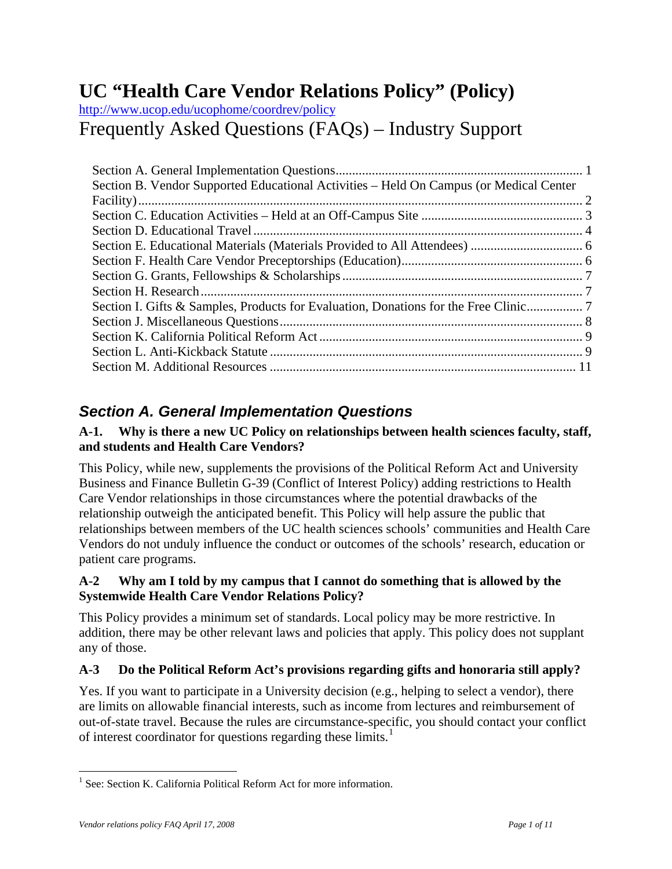# <span id="page-0-0"></span>**UC "Health Care Vendor Relations Policy" (Policy)**

<http://www.ucop.edu/ucophome/coordrev/policy> Frequently Asked Questions (FAQs) – Industry Support

| Section B. Vendor Supported Educational Activities – Held On Campus (or Medical Center |  |
|----------------------------------------------------------------------------------------|--|
|                                                                                        |  |
|                                                                                        |  |
|                                                                                        |  |
|                                                                                        |  |
|                                                                                        |  |
|                                                                                        |  |
|                                                                                        |  |
|                                                                                        |  |
|                                                                                        |  |
|                                                                                        |  |
|                                                                                        |  |
|                                                                                        |  |

# *Section A. General Implementation Questions*

## **A-1. Why is there a new UC Policy on relationships between health sciences faculty, staff, and students and Health Care Vendors?**

This Policy, while new, supplements the provisions of the Political Reform Act and University Business and Finance Bulletin G-39 (Conflict of Interest Policy) adding restrictions to Health Care Vendor relationships in those circumstances where the potential drawbacks of the relationship outweigh the anticipated benefit. This Policy will help assure the public that relationships between members of the UC health sciences schools' communities and Health Care Vendors do not unduly influence the conduct or outcomes of the schools' research, education or patient care programs.

# **A-2 Why am I told by my campus that I cannot do something that is allowed by the Systemwide Health Care Vendor Relations Policy?**

This Policy provides a minimum set of standards. Local policy may be more restrictive. In addition, there may be other relevant laws and policies that apply. This policy does not supplant any of those.

# **A-3 Do the Political Reform Act's provisions regarding gifts and honoraria still apply?**

Yes. If you want to participate in a University decision (e.g., helping to select a vendor), there are limits on allowable financial interests, such as income from lectures and reimbursement of out-of-state travel. Because the rules are circumstance-specific, you should contact your conflict of interest coordinator for questions regarding these limits.<sup>[1](#page-0-1)</sup>

 $\overline{a}$ 

<span id="page-0-1"></span><sup>&</sup>lt;sup>1</sup> See: Section K. California Political Reform Act for more information.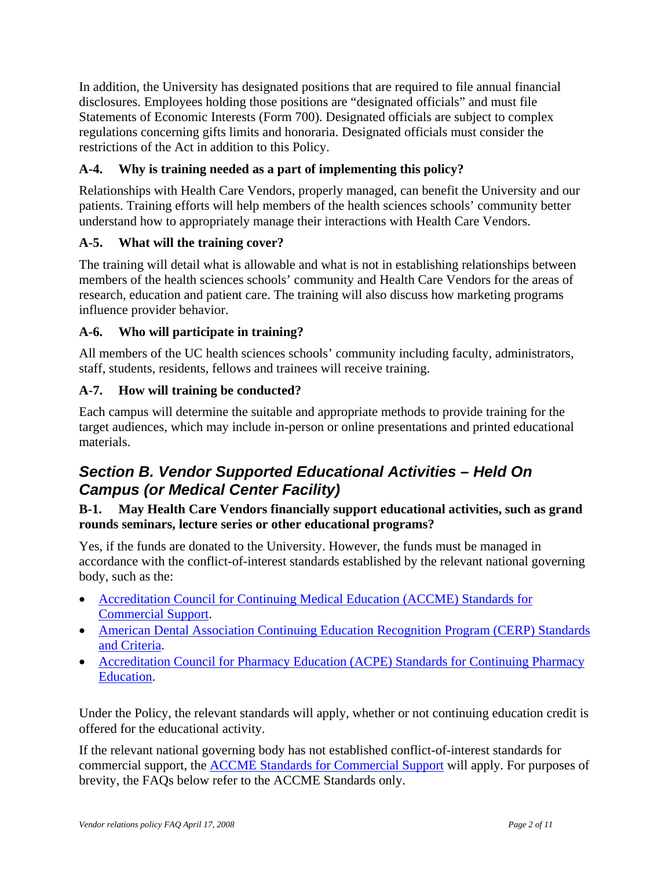<span id="page-1-0"></span>In addition, the University has designated positions that are required to file annual financial disclosures. Employees holding those positions are "designated officials" and must file Statements of Economic Interests (Form 700). Designated officials are subject to complex regulations concerning gifts limits and honoraria. Designated officials must consider the restrictions of the Act in addition to this Policy.

# **A-4. Why is training needed as a part of implementing this policy?**

Relationships with Health Care Vendors, properly managed, can benefit the University and our patients. Training efforts will help members of the health sciences schools' community better understand how to appropriately manage their interactions with Health Care Vendors.

# **A-5. What will the training cover?**

The training will detail what is allowable and what is not in establishing relationships between members of the health sciences schools' community and Health Care Vendors for the areas of research, education and patient care. The training will also discuss how marketing programs influence provider behavior.

## **A-6. Who will participate in training?**

All members of the UC health sciences schools' community including faculty, administrators, staff, students, residents, fellows and trainees will receive training.

## **A-7. How will training be conducted?**

Each campus will determine the suitable and appropriate methods to provide training for the target audiences, which may include in-person or online presentations and printed educational materials.

# *Section B. Vendor Supported Educational Activities – Held On Campus (or Medical Center Facility)*

#### **B-1. May Health Care Vendors financially support educational activities, such as grand rounds seminars, lecture series or other educational programs?**

Yes, if the funds are donated to the University. However, the funds must be managed in accordance with the conflict-of-interest standards established by the relevant national governing body, such as the:

- [Accreditation Council for Continuing Medical Education \(ACCME\) Standards for](http://www.accme.org/dir_docs/doc_upload/68b2902a-fb73-44d1-8725-80a1504e520c_uploaddocument.pdf)  [Commercial Support](http://www.accme.org/dir_docs/doc_upload/68b2902a-fb73-44d1-8725-80a1504e520c_uploaddocument.pdf).
- American Dental Association Continuing Education Recognition Program (CERP) Standards [and Criteria](http://adamailer.org/prof/ed/ce/cerp/standards.pdf).
- Accreditation Council for Pharmacy Education (ACPE) Standards for Continuing Pharmacy [Education.](http://www.acpe-accredit.org/pdf/CPE_Standards_Final_092107.pdf)

Under the Policy, the relevant standards will apply, whether or not continuing education credit is offered for the educational activity.

If the relevant national governing body has not established conflict-of-interest standards for commercial support, the [ACCME Standards for Commercial Support](http://www.accme.org/dir_docs/doc_upload/68b2902a-fb73-44d1-8725-80a1504e520c_uploaddocument.pdf) will apply. For purposes of brevity, the FAQs below refer to the ACCME Standards only.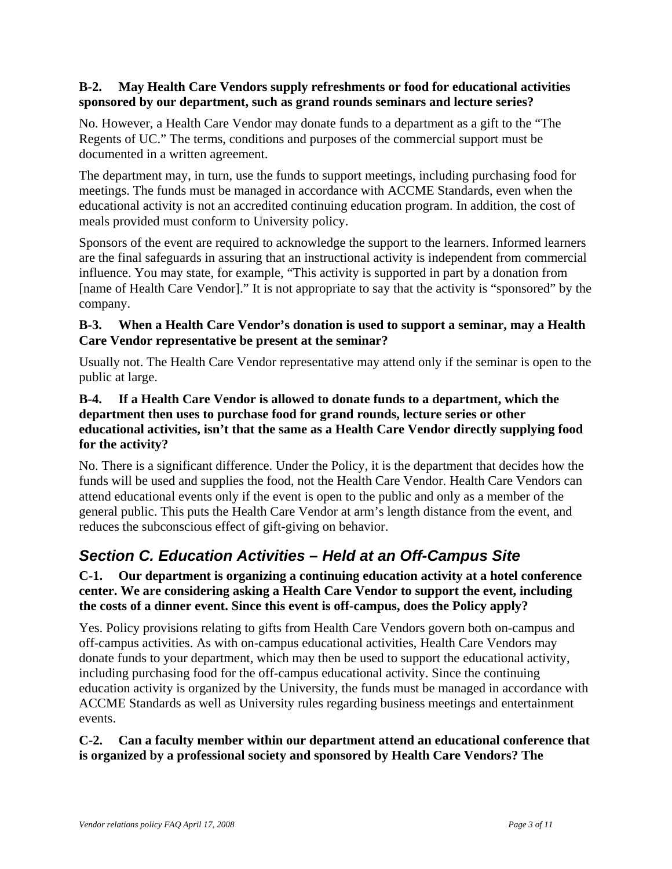#### <span id="page-2-0"></span>**B-2. May Health Care Vendors supply refreshments or food for educational activities sponsored by our department, such as grand rounds seminars and lecture series?**

No. However, a Health Care Vendor may donate funds to a department as a gift to the "The Regents of UC." The terms, conditions and purposes of the commercial support must be documented in a written agreement.

The department may, in turn, use the funds to support meetings, including purchasing food for meetings. The funds must be managed in accordance with ACCME Standards, even when the educational activity is not an accredited continuing education program. In addition, the cost of meals provided must conform to University policy.

Sponsors of the event are required to acknowledge the support to the learners. Informed learners are the final safeguards in assuring that an instructional activity is independent from commercial influence. You may state, for example, "This activity is supported in part by a donation from [name of Health Care Vendor]." It is not appropriate to say that the activity is "sponsored" by the company.

#### **B-3. When a Health Care Vendor's donation is used to support a seminar, may a Health Care Vendor representative be present at the seminar?**

Usually not. The Health Care Vendor representative may attend only if the seminar is open to the public at large.

#### **B-4. If a Health Care Vendor is allowed to donate funds to a department, which the department then uses to purchase food for grand rounds, lecture series or other educational activities, isn't that the same as a Health Care Vendor directly supplying food for the activity?**

No. There is a significant difference. Under the Policy, it is the department that decides how the funds will be used and supplies the food, not the Health Care Vendor. Health Care Vendors can attend educational events only if the event is open to the public and only as a member of the general public. This puts the Health Care Vendor at arm's length distance from the event, and reduces the subconscious effect of gift-giving on behavior.

# *Section C. Education Activities – Held at an Off-Campus Site*

## **C-1. Our department is organizing a continuing education activity at a hotel conference center. We are considering asking a Health Care Vendor to support the event, including the costs of a dinner event. Since this event is off-campus, does the Policy apply?**

Yes. Policy provisions relating to gifts from Health Care Vendors govern both on-campus and off-campus activities. As with on-campus educational activities, Health Care Vendors may donate funds to your department, which may then be used to support the educational activity, including purchasing food for the off-campus educational activity. Since the continuing education activity is organized by the University, the funds must be managed in accordance with ACCME Standards as well as University rules regarding business meetings and entertainment events.

## **C-2. Can a faculty member within our department attend an educational conference that is organized by a professional society and sponsored by Health Care Vendors? The**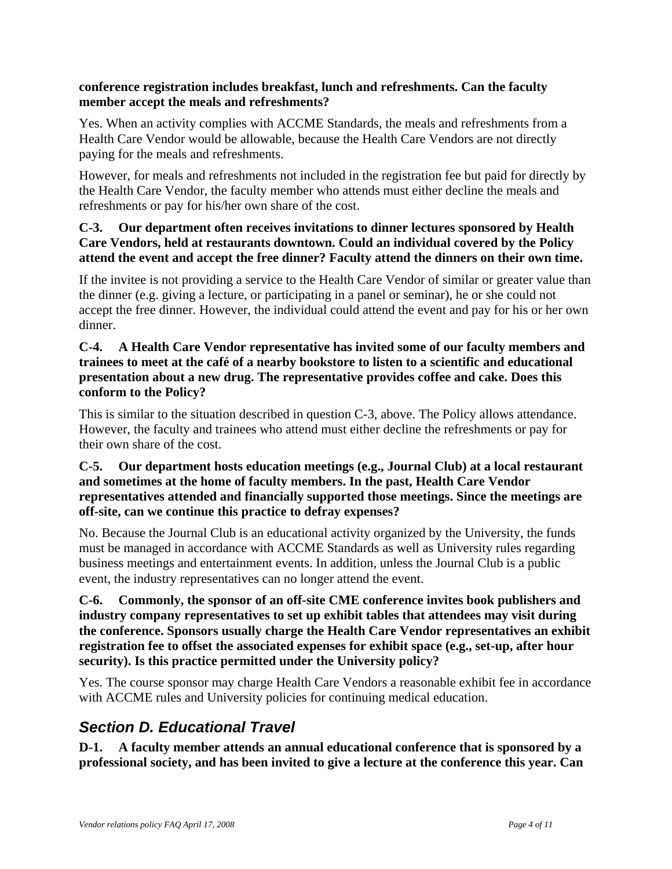#### <span id="page-3-0"></span>**conference registration includes breakfast, lunch and refreshments. Can the faculty member accept the meals and refreshments?**

Yes. When an activity complies with ACCME Standards, the meals and refreshments from a Health Care Vendor would be allowable, because the Health Care Vendors are not directly paying for the meals and refreshments.

However, for meals and refreshments not included in the registration fee but paid for directly by the Health Care Vendor, the faculty member who attends must either decline the meals and refreshments or pay for his/her own share of the cost.

#### **C-3. Our department often receives invitations to dinner lectures sponsored by Health Care Vendors, held at restaurants downtown. Could an individual covered by the Policy attend the event and accept the free dinner? Faculty attend the dinners on their own time.**

If the invitee is not providing a service to the Health Care Vendor of similar or greater value than the dinner (e.g. giving a lecture, or participating in a panel or seminar), he or she could not accept the free dinner. However, the individual could attend the event and pay for his or her own dinner.

#### **C-4. A Health Care Vendor representative has invited some of our faculty members and trainees to meet at the café of a nearby bookstore to listen to a scientific and educational presentation about a new drug. The representative provides coffee and cake. Does this conform to the Policy?**

This is similar to the situation described in question C-3, above. The Policy allows attendance. However, the faculty and trainees who attend must either decline the refreshments or pay for their own share of the cost.

#### **C-5. Our department hosts education meetings (e.g., Journal Club) at a local restaurant and sometimes at the home of faculty members. In the past, Health Care Vendor representatives attended and financially supported those meetings. Since the meetings are off-site, can we continue this practice to defray expenses?**

No. Because the Journal Club is an educational activity organized by the University, the funds must be managed in accordance with ACCME Standards as well as University rules regarding business meetings and entertainment events. In addition, unless the Journal Club is a public event, the industry representatives can no longer attend the event.

**C-6. Commonly, the sponsor of an off-site CME conference invites book publishers and industry company representatives to set up exhibit tables that attendees may visit during the conference. Sponsors usually charge the Health Care Vendor representatives an exhibit registration fee to offset the associated expenses for exhibit space (e.g., set-up, after hour security). Is this practice permitted under the University policy?** 

Yes. The course sponsor may charge Health Care Vendors a reasonable exhibit fee in accordance with ACCME rules and University policies for continuing medical education.

# *Section D. Educational Travel*

**D-1. A faculty member attends an annual educational conference that is sponsored by a professional society, and has been invited to give a lecture at the conference this year. Can**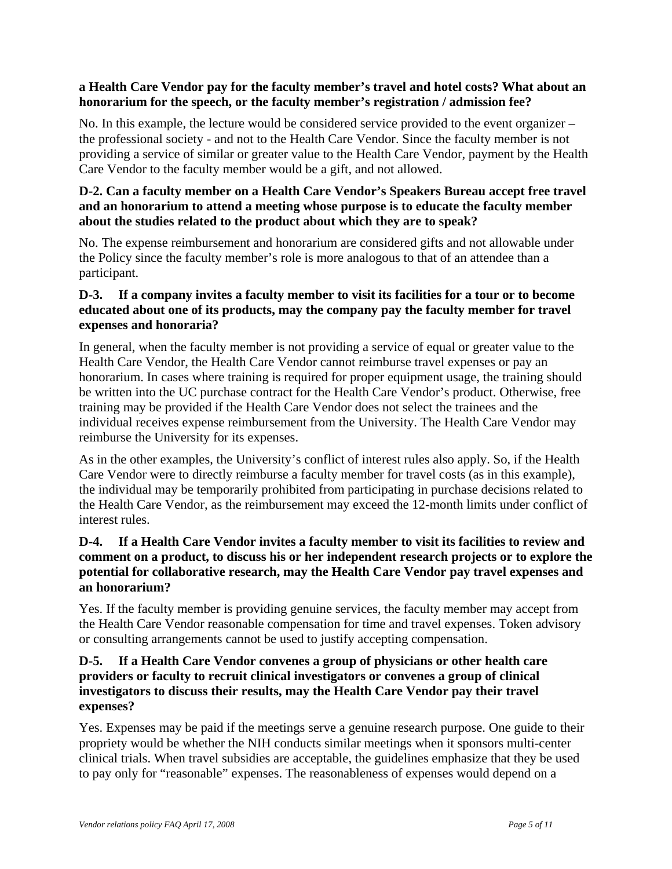#### **a Health Care Vendor pay for the faculty member's travel and hotel costs? What about an honorarium for the speech, or the faculty member's registration / admission fee?**

No. In this example, the lecture would be considered service provided to the event organizer – the professional society - and not to the Health Care Vendor. Since the faculty member is not providing a service of similar or greater value to the Health Care Vendor, payment by the Health Care Vendor to the faculty member would be a gift, and not allowed.

#### **D-2. Can a faculty member on a Health Care Vendor's Speakers Bureau accept free travel and an honorarium to attend a meeting whose purpose is to educate the faculty member about the studies related to the product about which they are to speak?**

No. The expense reimbursement and honorarium are considered gifts and not allowable under the Policy since the faculty member's role is more analogous to that of an attendee than a participant.

#### **D-3. If a company invites a faculty member to visit its facilities for a tour or to become educated about one of its products, may the company pay the faculty member for travel expenses and honoraria?**

In general, when the faculty member is not providing a service of equal or greater value to the Health Care Vendor, the Health Care Vendor cannot reimburse travel expenses or pay an honorarium. In cases where training is required for proper equipment usage, the training should be written into the UC purchase contract for the Health Care Vendor's product. Otherwise, free training may be provided if the Health Care Vendor does not select the trainees and the individual receives expense reimbursement from the University. The Health Care Vendor may reimburse the University for its expenses.

As in the other examples, the University's conflict of interest rules also apply. So, if the Health Care Vendor were to directly reimburse a faculty member for travel costs (as in this example), the individual may be temporarily prohibited from participating in purchase decisions related to the Health Care Vendor, as the reimbursement may exceed the 12-month limits under conflict of interest rules.

#### **D-4. If a Health Care Vendor invites a faculty member to visit its facilities to review and comment on a product, to discuss his or her independent research projects or to explore the potential for collaborative research, may the Health Care Vendor pay travel expenses and an honorarium?**

Yes. If the faculty member is providing genuine services, the faculty member may accept from the Health Care Vendor reasonable compensation for time and travel expenses. Token advisory or consulting arrangements cannot be used to justify accepting compensation.

#### **D-5. If a Health Care Vendor convenes a group of physicians or other health care providers or faculty to recruit clinical investigators or convenes a group of clinical investigators to discuss their results, may the Health Care Vendor pay their travel expenses?**

Yes. Expenses may be paid if the meetings serve a genuine research purpose. One guide to their propriety would be whether the NIH conducts similar meetings when it sponsors multi-center clinical trials. When travel subsidies are acceptable, the guidelines emphasize that they be used to pay only for "reasonable" expenses. The reasonableness of expenses would depend on a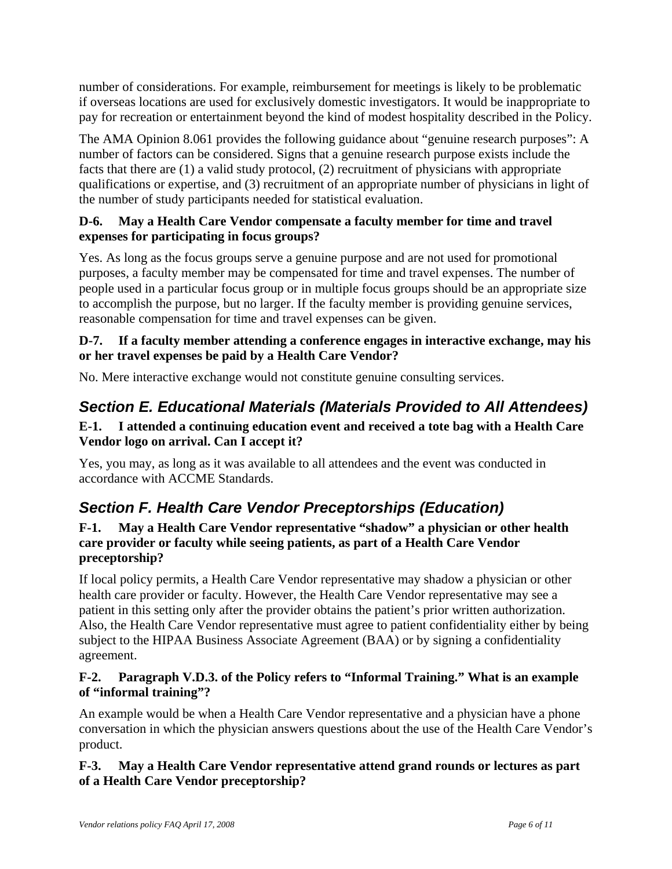<span id="page-5-0"></span>number of considerations. For example, reimbursement for meetings is likely to be problematic if overseas locations are used for exclusively domestic investigators. It would be inappropriate to pay for recreation or entertainment beyond the kind of modest hospitality described in the Policy.

The AMA Opinion 8.061 provides the following guidance about "genuine research purposes": A number of factors can be considered. Signs that a genuine research purpose exists include the facts that there are (1) a valid study protocol, (2) recruitment of physicians with appropriate qualifications or expertise, and (3) recruitment of an appropriate number of physicians in light of the number of study participants needed for statistical evaluation.

## **D-6. May a Health Care Vendor compensate a faculty member for time and travel expenses for participating in focus groups?**

Yes. As long as the focus groups serve a genuine purpose and are not used for promotional purposes, a faculty member may be compensated for time and travel expenses. The number of people used in a particular focus group or in multiple focus groups should be an appropriate size to accomplish the purpose, but no larger. If the faculty member is providing genuine services, reasonable compensation for time and travel expenses can be given.

# **D-7. If a faculty member attending a conference engages in interactive exchange, may his or her travel expenses be paid by a Health Care Vendor?**

No. Mere interactive exchange would not constitute genuine consulting services.

# *Section E. Educational Materials (Materials Provided to All Attendees)*

## **E-1. I attended a continuing education event and received a tote bag with a Health Care Vendor logo on arrival. Can I accept it?**

Yes, you may, as long as it was available to all attendees and the event was conducted in accordance with ACCME Standards.

# *Section F. Health Care Vendor Preceptorships (Education)*

## **F-1. May a Health Care Vendor representative "shadow" a physician or other health care provider or faculty while seeing patients, as part of a Health Care Vendor preceptorship?**

If local policy permits, a Health Care Vendor representative may shadow a physician or other health care provider or faculty. However, the Health Care Vendor representative may see a patient in this setting only after the provider obtains the patient's prior written authorization. Also, the Health Care Vendor representative must agree to patient confidentiality either by being subject to the HIPAA Business Associate Agreement (BAA) or by signing a confidentiality agreement.

# **F-2. Paragraph V.D.3. of the Policy refers to "Informal Training." What is an example of "informal training"?**

An example would be when a Health Care Vendor representative and a physician have a phone conversation in which the physician answers questions about the use of the Health Care Vendor's product.

# **F-3. May a Health Care Vendor representative attend grand rounds or lectures as part of a Health Care Vendor preceptorship?**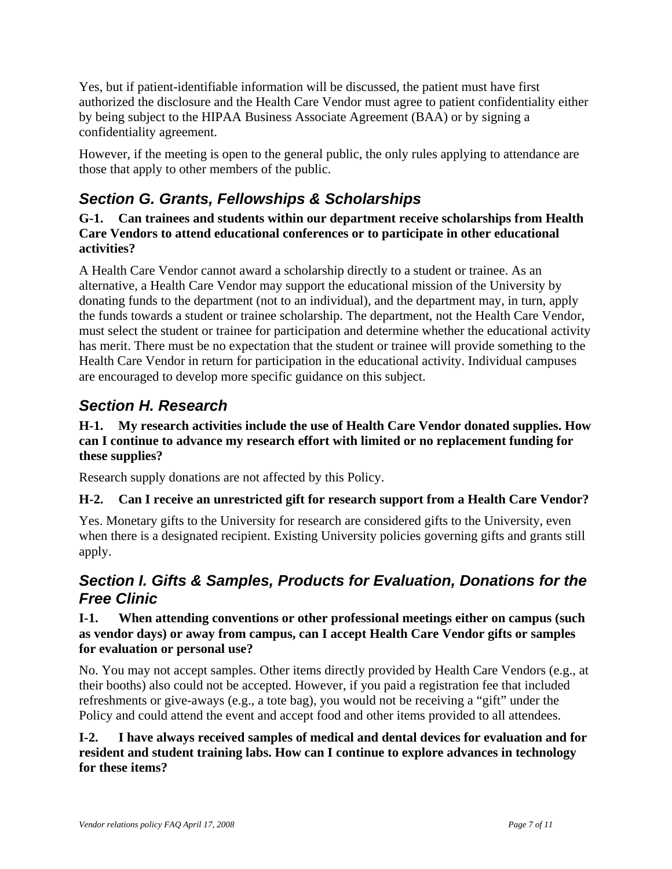<span id="page-6-0"></span>Yes, but if patient-identifiable information will be discussed, the patient must have first authorized the disclosure and the Health Care Vendor must agree to patient confidentiality either by being subject to the HIPAA Business Associate Agreement (BAA) or by signing a confidentiality agreement.

However, if the meeting is open to the general public, the only rules applying to attendance are those that apply to other members of the public.

# *Section G. Grants, Fellowships & Scholarships*

**G-1. Can trainees and students within our department receive scholarships from Health Care Vendors to attend educational conferences or to participate in other educational activities?** 

A Health Care Vendor cannot award a scholarship directly to a student or trainee. As an alternative, a Health Care Vendor may support the educational mission of the University by donating funds to the department (not to an individual), and the department may, in turn, apply the funds towards a student or trainee scholarship. The department, not the Health Care Vendor, must select the student or trainee for participation and determine whether the educational activity has merit. There must be no expectation that the student or trainee will provide something to the Health Care Vendor in return for participation in the educational activity. Individual campuses are encouraged to develop more specific guidance on this subject.

# *Section H. Research*

#### **H-1. My research activities include the use of Health Care Vendor donated supplies. How can I continue to advance my research effort with limited or no replacement funding for these supplies?**

Research supply donations are not affected by this Policy.

# **H-2. Can I receive an unrestricted gift for research support from a Health Care Vendor?**

Yes. Monetary gifts to the University for research are considered gifts to the University, even when there is a designated recipient. Existing University policies governing gifts and grants still apply.

# *Section I. Gifts & Samples, Products for Evaluation, Donations for the Free Clinic*

## **I-1. When attending conventions or other professional meetings either on campus (such as vendor days) or away from campus, can I accept Health Care Vendor gifts or samples for evaluation or personal use?**

No. You may not accept samples. Other items directly provided by Health Care Vendors (e.g., at their booths) also could not be accepted. However, if you paid a registration fee that included refreshments or give-aways (e.g., a tote bag), you would not be receiving a "gift" under the Policy and could attend the event and accept food and other items provided to all attendees.

## **I-2. I have always received samples of medical and dental devices for evaluation and for resident and student training labs. How can I continue to explore advances in technology for these items?**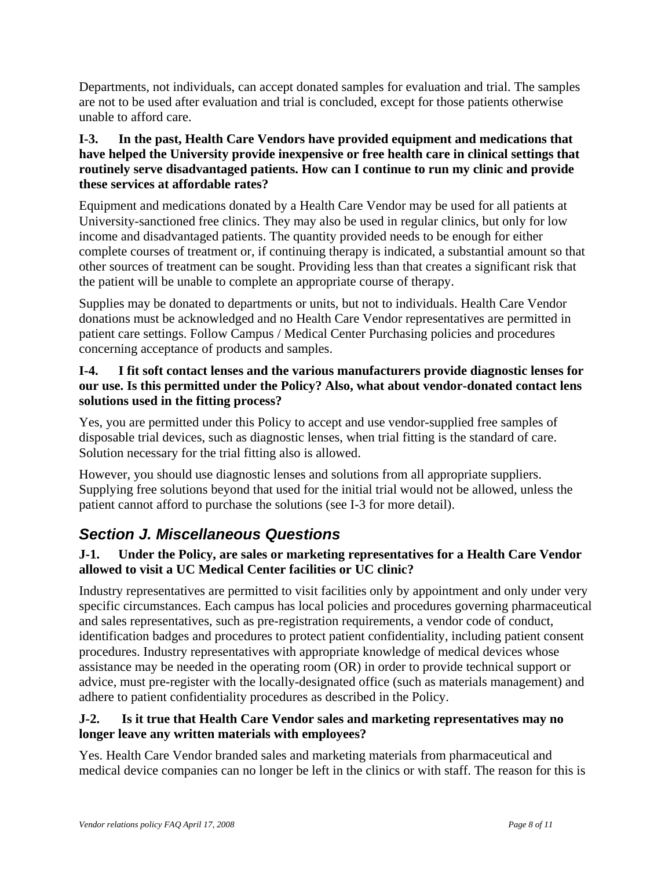<span id="page-7-0"></span>Departments, not individuals, can accept donated samples for evaluation and trial. The samples are not to be used after evaluation and trial is concluded, except for those patients otherwise unable to afford care.

#### **I-3. In the past, Health Care Vendors have provided equipment and medications that have helped the University provide inexpensive or free health care in clinical settings that routinely serve disadvantaged patients. How can I continue to run my clinic and provide these services at affordable rates?**

Equipment and medications donated by a Health Care Vendor may be used for all patients at University-sanctioned free clinics. They may also be used in regular clinics, but only for low income and disadvantaged patients. The quantity provided needs to be enough for either complete courses of treatment or, if continuing therapy is indicated, a substantial amount so that other sources of treatment can be sought. Providing less than that creates a significant risk that the patient will be unable to complete an appropriate course of therapy.

Supplies may be donated to departments or units, but not to individuals. Health Care Vendor donations must be acknowledged and no Health Care Vendor representatives are permitted in patient care settings. Follow Campus / Medical Center Purchasing policies and procedures concerning acceptance of products and samples.

#### **I-4. I fit soft contact lenses and the various manufacturers provide diagnostic lenses for our use. Is this permitted under the Policy? Also, what about vendor-donated contact lens solutions used in the fitting process?**

Yes, you are permitted under this Policy to accept and use vendor-supplied free samples of disposable trial devices, such as diagnostic lenses, when trial fitting is the standard of care. Solution necessary for the trial fitting also is allowed.

However, you should use diagnostic lenses and solutions from all appropriate suppliers. Supplying free solutions beyond that used for the initial trial would not be allowed, unless the patient cannot afford to purchase the solutions (see I-3 for more detail).

# *Section J. Miscellaneous Questions*

## **J-1. Under the Policy, are sales or marketing representatives for a Health Care Vendor allowed to visit a UC Medical Center facilities or UC clinic?**

Industry representatives are permitted to visit facilities only by appointment and only under very specific circumstances. Each campus has local policies and procedures governing pharmaceutical and sales representatives, such as pre-registration requirements, a vendor code of conduct, identification badges and procedures to protect patient confidentiality, including patient consent procedures. Industry representatives with appropriate knowledge of medical devices whose assistance may be needed in the operating room (OR) in order to provide technical support or advice, must pre-register with the locally-designated office (such as materials management) and adhere to patient confidentiality procedures as described in the Policy.

#### **J-2. Is it true that Health Care Vendor sales and marketing representatives may no longer leave any written materials with employees?**

Yes. Health Care Vendor branded sales and marketing materials from pharmaceutical and medical device companies can no longer be left in the clinics or with staff. The reason for this is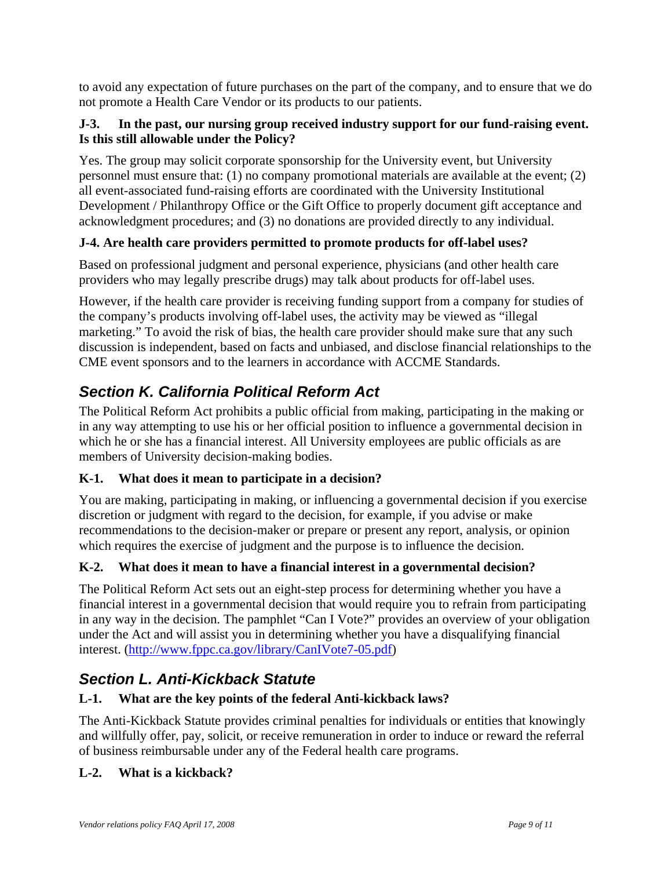<span id="page-8-0"></span>to avoid any expectation of future purchases on the part of the company, and to ensure that we do not promote a Health Care Vendor or its products to our patients.

#### **J-3. In the past, our nursing group received industry support for our fund-raising event. Is this still allowable under the Policy?**

Yes. The group may solicit corporate sponsorship for the University event, but University personnel must ensure that: (1) no company promotional materials are available at the event; (2) all event-associated fund-raising efforts are coordinated with the University Institutional Development / Philanthropy Office or the Gift Office to properly document gift acceptance and acknowledgment procedures; and (3) no donations are provided directly to any individual.

## **J-4. Are health care providers permitted to promote products for off-label uses?**

Based on professional judgment and personal experience, physicians (and other health care providers who may legally prescribe drugs) may talk about products for off-label uses.

However, if the health care provider is receiving funding support from a company for studies of the company's products involving off-label uses, the activity may be viewed as "illegal marketing." To avoid the risk of bias, the health care provider should make sure that any such discussion is independent, based on facts and unbiased, and disclose financial relationships to the CME event sponsors and to the learners in accordance with ACCME Standards.

# *Section K. California Political Reform Act*

The Political Reform Act prohibits a public official from making, participating in the making or in any way attempting to use his or her official position to influence a governmental decision in which he or she has a financial interest. All University employees are public officials as are members of University decision-making bodies.

#### **K-1. What does it mean to participate in a decision?**

You are making, participating in making, or influencing a governmental decision if you exercise discretion or judgment with regard to the decision, for example, if you advise or make recommendations to the decision-maker or prepare or present any report, analysis, or opinion which requires the exercise of judgment and the purpose is to influence the decision.

# **K-2. What does it mean to have a financial interest in a governmental decision?**

The Political Reform Act sets out an eight-step process for determining whether you have a financial interest in a governmental decision that would require you to refrain from participating in any way in the decision. The pamphlet "Can I Vote?" provides an overview of your obligation under the Act and will assist you in determining whether you have a disqualifying financial interest. [\(http://www.fppc.ca.gov/library/CanIVote7-05.pdf](http://www.fppc.ca.gov/library/CanIVote7-05.pdf))

# *Section L. Anti-Kickback Statute*

#### **L-1. What are the key points of the federal Anti-kickback laws?**

The Anti-Kickback Statute provides criminal penalties for individuals or entities that knowingly and willfully offer, pay, solicit, or receive remuneration in order to induce or reward the referral of business reimbursable under any of the Federal health care programs.

#### **L-2. What is a kickback?**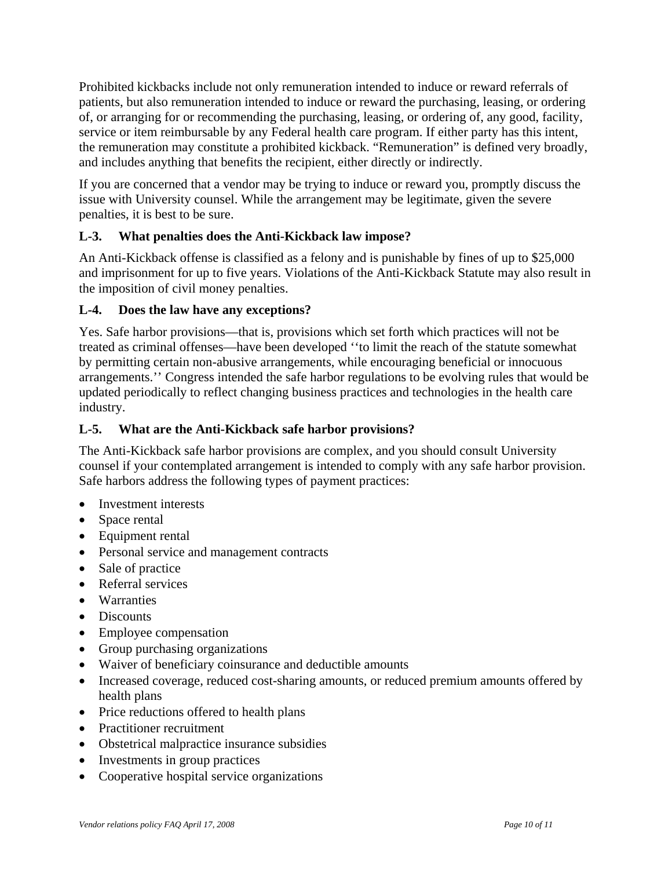Prohibited kickbacks include not only remuneration intended to induce or reward referrals of patients, but also remuneration intended to induce or reward the purchasing, leasing, or ordering of, or arranging for or recommending the purchasing, leasing, or ordering of, any good, facility, service or item reimbursable by any Federal health care program. If either party has this intent, the remuneration may constitute a prohibited kickback. "Remuneration" is defined very broadly, and includes anything that benefits the recipient, either directly or indirectly.

If you are concerned that a vendor may be trying to induce or reward you, promptly discuss the issue with University counsel. While the arrangement may be legitimate, given the severe penalties, it is best to be sure.

# **L-3. What penalties does the Anti-Kickback law impose?**

An Anti-Kickback offense is classified as a felony and is punishable by fines of up to \$25,000 and imprisonment for up to five years. Violations of the Anti-Kickback Statute may also result in the imposition of civil money penalties.

## **L-4. Does the law have any exceptions?**

Yes. Safe harbor provisions—that is, provisions which set forth which practices will not be treated as criminal offenses—have been developed ''to limit the reach of the statute somewhat by permitting certain non-abusive arrangements, while encouraging beneficial or innocuous arrangements.'' Congress intended the safe harbor regulations to be evolving rules that would be updated periodically to reflect changing business practices and technologies in the health care industry.

## **L-5. What are the Anti-Kickback safe harbor provisions?**

The Anti-Kickback safe harbor provisions are complex, and you should consult University counsel if your contemplated arrangement is intended to comply with any safe harbor provision. Safe harbors address the following types of payment practices:

- Investment interests
- Space rental
- Equipment rental
- Personal service and management contracts
- Sale of practice
- Referral services
- Warranties
- Discounts
- Employee compensation
- Group purchasing organizations
- Waiver of beneficiary coinsurance and deductible amounts
- Increased coverage, reduced cost-sharing amounts, or reduced premium amounts offered by health plans
- Price reductions offered to health plans
- Practitioner recruitment
- Obstetrical malpractice insurance subsidies
- Investments in group practices
- Cooperative hospital service organizations